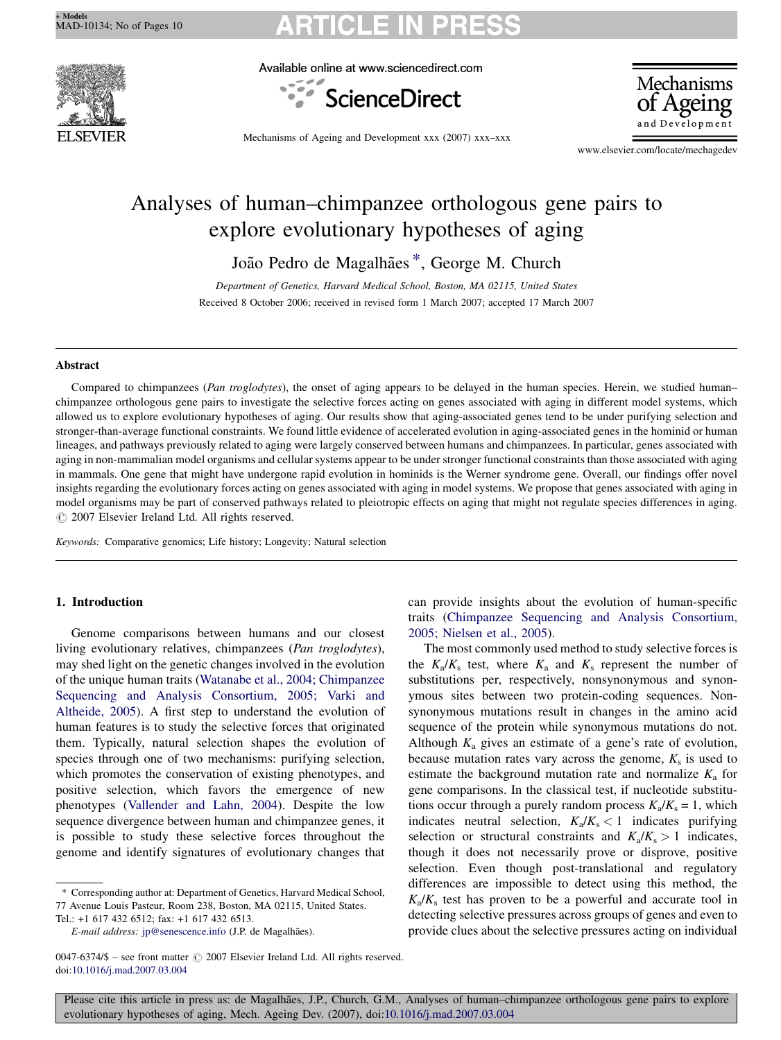Available online at www.sciencedirect.com



Mechanisms

Mechanisms of Ageing and Development xxx (2007) xxx–xxx

www.elsevier.com/locate/mechagedev

# Analyses of human–chimpanzee orthologous gene pairs to explore evolutionary hypotheses of aging

João Pedro de Magalhães<sup>\*</sup>, George M. Church

Department of Genetics, Harvard Medical School, Boston, MA 02115, United States Received 8 October 2006; received in revised form 1 March 2007; accepted 17 March 2007

## Abstract

Compared to chimpanzees (Pan troglodytes), the onset of aging appears to be delayed in the human species. Herein, we studied human– chimpanzee orthologous gene pairs to investigate the selective forces acting on genes associated with aging in different model systems, which allowed us to explore evolutionary hypotheses of aging. Our results show that aging-associated genes tend to be under purifying selection and stronger-than-average functional constraints. We found little evidence of accelerated evolution in aging-associated genes in the hominid or human lineages, and pathways previously related to aging were largely conserved between humans and chimpanzees. In particular, genes associated with aging in non-mammalian model organisms and cellular systems appear to be under stronger functional constraints than those associated with aging in mammals. One gene that might have undergone rapid evolution in hominids is the Werner syndrome gene. Overall, our findings offer novel insights regarding the evolutionary forces acting on genes associated with aging in model systems. We propose that genes associated with aging in model organisms may be part of conserved pathways related to pleiotropic effects on aging that might not regulate species differences in aging.  $\odot$  2007 Elsevier Ireland Ltd. All rights reserved.

Keywords: Comparative genomics; Life history; Longevity; Natural selection

## 1. Introduction

Genome comparisons between humans and our closest living evolutionary relatives, chimpanzees (Pan troglodytes), may shed light on the genetic changes involved in the evolution of the unique human traits ([Watanabe et al., 2004; Chimpanzee](#page-9-0) [Sequencing and Analysis Consortium, 2005; Varki and](#page-9-0) [Altheide, 2005\)](#page-9-0). A first step to understand the evolution of human features is to study the selective forces that originated them. Typically, natural selection shapes the evolution of species through one of two mechanisms: purifying selection, which promotes the conservation of existing phenotypes, and positive selection, which favors the emergence of new phenotypes ([Vallender and Lahn, 2004\)](#page-9-0). Despite the low sequence divergence between human and chimpanzee genes, it is possible to study these selective forces throughout the genome and identify signatures of evolutionary changes that

0047-6374/\$ – see front matter  $\odot$  2007 Elsevier Ireland Ltd. All rights reserved.

77 Avenue Louis Pasteur, Room 238, Boston, MA 02115, United States.

Tel.: +1 617 432 6512; fax: +1 617 432 6513.

can provide insights about the evolution of human-specific traits [\(Chimpanzee Sequencing and Analysis Consortium,](#page-8-0) [2005; Nielsen et al., 2005\)](#page-8-0).

The most commonly used method to study selective forces is the  $K_a/K_s$  test, where  $K_a$  and  $K_s$  represent the number of substitutions per, respectively, nonsynonymous and synonymous sites between two protein-coding sequences. Nonsynonymous mutations result in changes in the amino acid sequence of the protein while synonymous mutations do not. Although  $K_a$  gives an estimate of a gene's rate of evolution, because mutation rates vary across the genome,  $K_s$  is used to estimate the background mutation rate and normalize  $K_a$  for gene comparisons. In the classical test, if nucleotide substitutions occur through a purely random process  $K_a/K_s = 1$ , which indicates neutral selection,  $K_a/K_s < 1$  indicates purifying selection or structural constraints and  $K_a/K_s > 1$  indicates, though it does not necessarily prove or disprove, positive selection. Even though post-translational and regulatory differences are impossible to detect using this method, the  $K_a/K_s$  test has proven to be a powerful and accurate tool in detecting selective pressures across groups of genes and even to provide clues about the selective pressures acting on individual

<sup>\*</sup> Corresponding author at: Department of Genetics, Harvard Medical School,

E-mail address: [jp@senescence.info](mailto:jp@senescence.info) (J.P. de Magalhães).

doi:[10.1016/j.mad.2007.03.004](http://dx.doi.org/10.1016/j.mad.2007.03.004)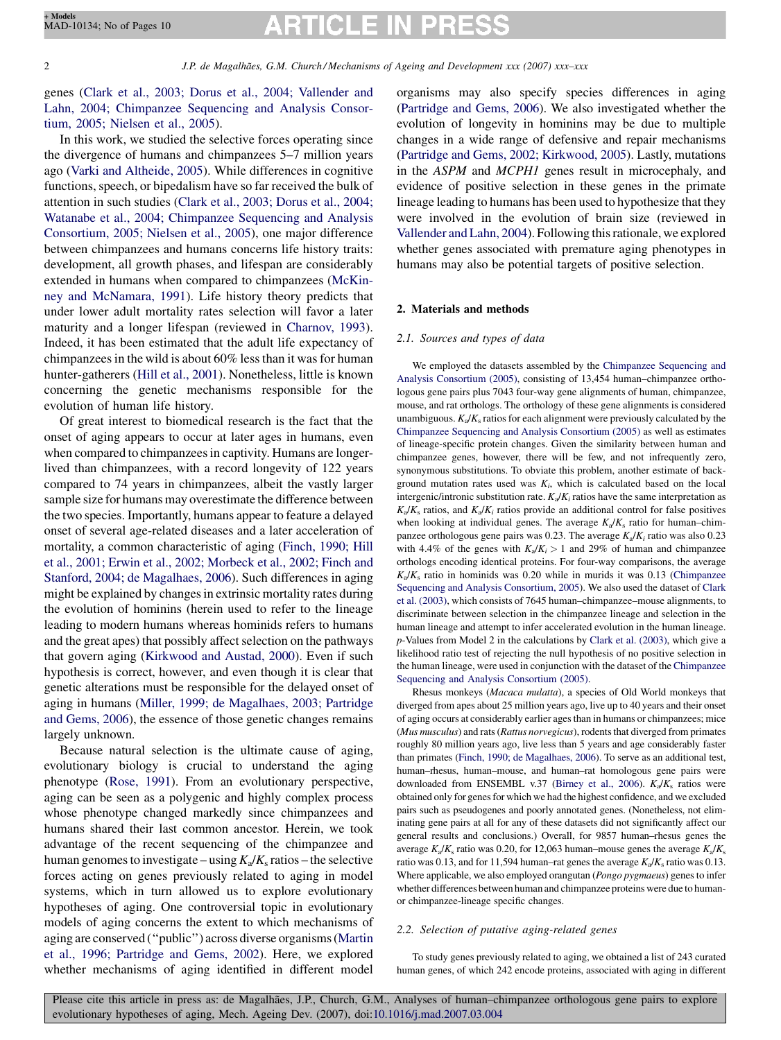# **ARTICLE IN PRE**

<span id="page-1-0"></span>genes ([Clark et al., 2003; Dorus et al., 2004; Vallender and](#page-8-0) [Lahn, 2004; Chimpanzee Sequencing and Analysis Consor](#page-8-0)[tium, 2005; Nielsen et al., 2005](#page-8-0)).

In this work, we studied the selective forces operating since the divergence of humans and chimpanzees 5–7 million years ago [\(Varki and Altheide, 2005\)](#page-9-0). While differences in cognitive functions, speech, or bipedalism have so far received the bulk of attention in such studies [\(Clark et al., 2003; Dorus et al., 2004;](#page-8-0) [Watanabe et al., 2004; Chimpanzee Sequencing and Analysis](#page-8-0) [Consortium, 2005; Nielsen et al., 2005\)](#page-8-0), one major difference between chimpanzees and humans concerns life history traits: development, all growth phases, and lifespan are considerably extended in humans when compared to chimpanzees [\(McKin](#page-8-0)[ney and McNamara, 1991](#page-8-0)). Life history theory predicts that under lower adult mortality rates selection will favor a later maturity and a longer lifespan (reviewed in [Charnov, 1993\)](#page-8-0). Indeed, it has been estimated that the adult life expectancy of chimpanzees in the wild is about 60% less than it was for human hunter-gatherers ([Hill et al., 2001\)](#page-8-0). Nonetheless, little is known concerning the genetic mechanisms responsible for the evolution of human life history.

Of great interest to biomedical research is the fact that the onset of aging appears to occur at later ages in humans, even when compared to chimpanzees in captivity. Humans are longerlived than chimpanzees, with a record longevity of 122 years compared to 74 years in chimpanzees, albeit the vastly larger sample size for humans may overestimate the difference between the two species. Importantly, humans appear to feature a delayed onset of several age-related diseases and a later acceleration of mortality, a common characteristic of aging ([Finch, 1990; Hill](#page-8-0) [et al., 2001; Erwin et al., 2002; Morbeck et al., 2002; Finch and](#page-8-0) [Stanford, 2004; de Magalhaes, 2006](#page-8-0)). Such differences in aging might be explained by changes in extrinsic mortality rates during the evolution of hominins (herein used to refer to the lineage leading to modern humans whereas hominids refers to humans and the great apes) that possibly affect selection on the pathways that govern aging ([Kirkwood and Austad, 2000\)](#page-8-0). Even if such hypothesis is correct, however, and even though it is clear that genetic alterations must be responsible for the delayed onset of aging in humans ([Miller, 1999; de Magalhaes, 2003; Partridge](#page-8-0) [and Gems, 2006](#page-8-0)), the essence of those genetic changes remains largely unknown.

Because natural selection is the ultimate cause of aging, evolutionary biology is crucial to understand the aging phenotype [\(Rose, 1991\)](#page-9-0). From an evolutionary perspective, aging can be seen as a polygenic and highly complex process whose phenotype changed markedly since chimpanzees and humans shared their last common ancestor. Herein, we took advantage of the recent sequencing of the chimpanzee and human genomes to investigate – using  $K_a/K_s$  ratios – the selective forces acting on genes previously related to aging in model systems, which in turn allowed us to explore evolutionary hypotheses of aging. One controversial topic in evolutionary models of aging concerns the extent to which mechanisms of aging are conserved (''public'') across diverse organisms ([Martin](#page-8-0) [et al., 1996; Partridge and Gems, 2002\)](#page-8-0). Here, we explored whether mechanisms of aging identified in different model

organisms may also specify species differences in aging [\(Partridge and Gems, 2006](#page-9-0)). We also investigated whether the evolution of longevity in hominins may be due to multiple changes in a wide range of defensive and repair mechanisms [\(Partridge and Gems, 2002; Kirkwood, 2005\)](#page-9-0). Lastly, mutations in the ASPM and MCPH1 genes result in microcephaly, and evidence of positive selection in these genes in the primate lineage leading to humans has been used to hypothesize that they were involved in the evolution of brain size (reviewed in [Vallender and Lahn, 2004](#page-9-0)). Following this rationale, we explored whether genes associated with premature aging phenotypes in humans may also be potential targets of positive selection.

# 2. Materials and methods

### 2.1. Sources and types of data

We employed the datasets assembled by the [Chimpanzee Sequencing and](#page-8-0) [Analysis Consortium \(2005\),](#page-8-0) consisting of 13,454 human–chimpanzee orthologous gene pairs plus 7043 four-way gene alignments of human, chimpanzee, mouse, and rat orthologs. The orthology of these gene alignments is considered unambiguous.  $K_a/K_s$  ratios for each alignment were previously calculated by the [Chimpanzee Sequencing and Analysis Consortium \(2005\)](#page-8-0) as well as estimates of lineage-specific protein changes. Given the similarity between human and chimpanzee genes, however, there will be few, and not infrequently zero, synonymous substitutions. To obviate this problem, another estimate of background mutation rates used was  $K_i$ , which is calculated based on the local intergenic/intronic substitution rate.  $K_a/K_i$  ratios have the same interpretation as  $K_a/K_s$  ratios, and  $K_a/K_i$  ratios provide an additional control for false positives when looking at individual genes. The average  $K_a/K_s$  ratio for human–chimpanzee orthologous gene pairs was 0.23. The average  $K_a/K_i$  ratio was also 0.23 with 4.4% of the genes with  $K_a/K_i > 1$  and 29% of human and chimpanzee orthologs encoding identical proteins. For four-way comparisons, the average  $K_a/K_s$  ratio in hominids was 0.20 while in murids it was 0.13 ([Chimpanzee](#page-8-0) [Sequencing and Analysis Consortium, 2005](#page-8-0)). We also used the dataset of [Clark](#page-8-0) [et al. \(2003\),](#page-8-0) which consists of 7645 human–chimpanzee–mouse alignments, to discriminate between selection in the chimpanzee lineage and selection in the human lineage and attempt to infer accelerated evolution in the human lineage. p-Values from Model 2 in the calculations by [Clark et al. \(2003\),](#page-8-0) which give a likelihood ratio test of rejecting the null hypothesis of no positive selection in the human lineage, were used in conjunction with the dataset of the [Chimpanzee](#page-8-0) [Sequencing and Analysis Consortium \(2005\).](#page-8-0)

Rhesus monkeys (Macaca mulatta), a species of Old World monkeys that diverged from apes about 25 million years ago, live up to 40 years and their onset of aging occurs at considerably earlier ages than in humans or chimpanzees; mice (Mus musculus) and rats (Rattus norvegicus), rodents that diverged from primates roughly 80 million years ago, live less than 5 years and age considerably faster than primates ([Finch, 1990; de Magalhaes, 2006](#page-8-0)). To serve as an additional test, human–rhesus, human–mouse, and human–rat homologous gene pairs were downloaded from ENSEMBL v.37 ([Birney et al., 2006\)](#page-8-0).  $K_a/K_s$  ratios were obtained only for genes for which we had the highest confidence, and we excluded pairs such as pseudogenes and poorly annotated genes. (Nonetheless, not eliminating gene pairs at all for any of these datasets did not significantly affect our general results and conclusions.) Overall, for 9857 human–rhesus genes the average  $K_a/K_s$  ratio was 0.20, for 12,063 human–mouse genes the average  $K_a/K_s$ ratio was 0.13, and for 11,594 human–rat genes the average  $K_a/K_s$  ratio was 0.13. Where applicable, we also employed orangutan (Pongo pygmaeus) genes to infer whether differences between human and chimpanzee proteins were due to humanor chimpanzee-lineage specific changes.

# 2.2. Selection of putative aging-related genes

To study genes previously related to aging, we obtained a list of 243 curated human genes, of which 242 encode proteins, associated with aging in different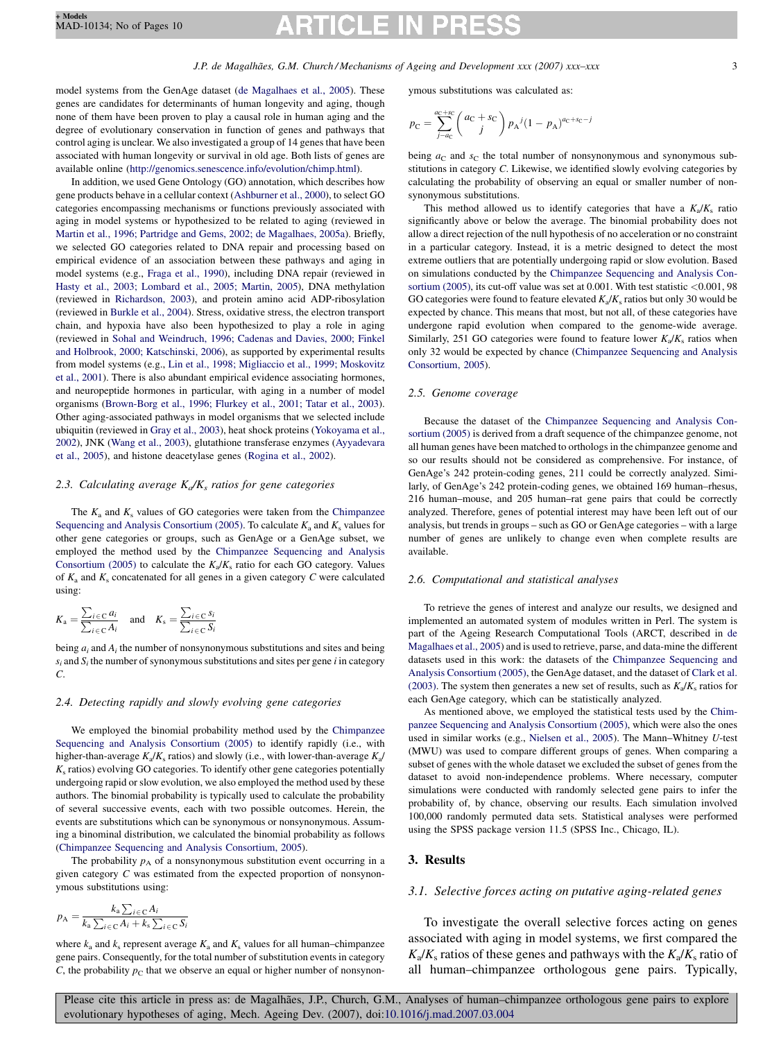# P: ICLE I

model systems from the GenAge dataset ([de Magalhaes et al., 2005\)](#page-8-0). These genes are candidates for determinants of human longevity and aging, though none of them have been proven to play a causal role in human aging and the degree of evolutionary conservation in function of genes and pathways that control aging is unclear. We also investigated a group of 14 genes that have been associated with human longevity or survival in old age. Both lists of genes are available online [\(http://genomics.senescence.info/evolution/chimp.html\)](http://genomics.senescence.info/evolution/chimp.html).

In addition, we used Gene Ontology (GO) annotation, which describes how gene products behave in a cellular context ([Ashburner et al., 2000](#page-8-0)), to select GO categories encompassing mechanisms or functions previously associated with aging in model systems or hypothesized to be related to aging (reviewed in [Martin et al., 1996; Partridge and Gems, 2002; de Magalhaes, 2005a](#page-8-0)). Briefly, we selected GO categories related to DNA repair and processing based on empirical evidence of an association between these pathways and aging in model systems (e.g., [Fraga et al., 1990\)](#page-8-0), including DNA repair (reviewed in [Hasty et al., 2003; Lombard et al., 2005; Martin, 2005](#page-8-0)), DNA methylation (reviewed in [Richardson, 2003\)](#page-9-0), and protein amino acid ADP-ribosylation (reviewed in [Burkle et al., 2004](#page-8-0)). Stress, oxidative stress, the electron transport chain, and hypoxia have also been hypothesized to play a role in aging (reviewed in [Sohal and Weindruch, 1996; Cadenas and Davies, 2000; Finkel](#page-9-0) [and Holbrook, 2000; Katschinski, 2006](#page-9-0)), as supported by experimental results from model systems (e.g., [Lin et al., 1998; Migliaccio et al., 1999; Moskovitz](#page-8-0) [et al., 2001](#page-8-0)). There is also abundant empirical evidence associating hormones, and neuropeptide hormones in particular, with aging in a number of model organisms [\(Brown-Borg et al., 1996; Flurkey et al., 2001; Tatar et al., 2003\)](#page-8-0). Other aging-associated pathways in model organisms that we selected include ubiquitin (reviewed in [Gray et al., 2003\)](#page-8-0), heat shock proteins [\(Yokoyama et al.,](#page-9-0) [2002](#page-9-0)), JNK ([Wang et al., 2003](#page-9-0)), glutathione transferase enzymes [\(Ayyadevara](#page-8-0) [et al., 2005](#page-8-0)), and histone deacetylase genes [\(Rogina et al., 2002\)](#page-9-0).

## 2.3. Calculating average  $K_a/K_s$  ratios for gene categories

The  $K_a$  and  $K_s$  values of GO categories were taken from the [Chimpanzee](#page-8-0) [Sequencing and Analysis Consortium \(2005\)](#page-8-0). To calculate  $K_a$  and  $K_s$  values for other gene categories or groups, such as GenAge or a GenAge subset, we employed the method used by the [Chimpanzee Sequencing and Analysis](#page-8-0) [Consortium \(2005\)](#page-8-0) to calculate the  $K_a/K_s$  ratio for each GO category. Values of  $K_a$  and  $K_s$  concatenated for all genes in a given category C were calculated using:

$$
K_{\mathbf{a}} = \frac{\sum_{i \in \mathbf{C}} a_i}{\sum_{i \in \mathbf{C}} A_i} \quad \text{and} \quad K_{\mathbf{s}} = \frac{\sum_{i \in \mathbf{C}} s_i}{\sum_{i \in \mathbf{C}} S_i}
$$

being  $a_i$  and  $A_i$  the number of nonsynonymous substitutions and sites and being  $s_i$  and  $S_i$  the number of synonymous substitutions and sites per gene i in category C.

### 2.4. Detecting rapidly and slowly evolving gene categories

We employed the binomial probability method used by the [Chimpanzee](#page-8-0) [Sequencing and Analysis Consortium \(2005\)](#page-8-0) to identify rapidly (i.e., with higher-than-average  $K_a/K_s$  ratios) and slowly (i.e., with lower-than-average  $K_a/K_s$  $K<sub>s</sub>$  ratios) evolving GO categories. To identify other gene categories potentially undergoing rapid or slow evolution, we also employed the method used by these authors. The binomial probability is typically used to calculate the probability of several successive events, each with two possible outcomes. Herein, the events are substitutions which can be synonymous or nonsynonymous. Assuming a binominal distribution, we calculated the binomial probability as follows [\(Chimpanzee Sequencing and Analysis Consortium, 2005](#page-8-0)).

The probability  $p_A$  of a nonsynonymous substitution event occurring in a given category C was estimated from the expected proportion of nonsynonymous substitutions using:

$$
p_{\rm A} = \frac{k_{\rm a} \sum_{i \in \rm C} A_i}{k_{\rm a} \sum_{i \in \rm C} A_i + k_{\rm s} \sum_{i \in \rm C} S_i}
$$

where  $k_a$  and  $k_s$  represent average  $K_a$  and  $K_s$  values for all human–chimpanzee gene pairs. Consequently, for the total number of substitution events in category  $C$ , the probability  $p_C$  that we observe an equal or higher number of nonsynonymous substitutions was calculated as:

$$
p_{\rm C} = \sum_{j=a_{\rm C}}^{a_{\rm C}+s_{\rm C}} \binom{a_{\rm C}+s_{\rm C}}{j} p_{\rm A}{}^{j} (1-p_{\rm A})^{a_{\rm C}+s_{\rm C}-j}
$$

being  $a<sub>C</sub>$  and  $s<sub>C</sub>$  the total number of nonsynonymous and synonymous substitutions in category C. Likewise, we identified slowly evolving categories by calculating the probability of observing an equal or smaller number of nonsynonymous substitutions.

This method allowed us to identify categories that have a  $K_a/K_s$  ratio significantly above or below the average. The binomial probability does not allow a direct rejection of the null hypothesis of no acceleration or no constraint in a particular category. Instead, it is a metric designed to detect the most extreme outliers that are potentially undergoing rapid or slow evolution. Based on simulations conducted by the [Chimpanzee Sequencing and Analysis Con](#page-8-0)[sortium \(2005\),](#page-8-0) its cut-off value was set at 0.001. With test statistic <0.001, 98 GO categories were found to feature elevated  $K_a/K_s$  ratios but only 30 would be expected by chance. This means that most, but not all, of these categories have undergone rapid evolution when compared to the genome-wide average. Similarly, 251 GO categories were found to feature lower  $K_a/K_s$  ratios when only 32 would be expected by chance ([Chimpanzee Sequencing and Analysis](#page-8-0) [Consortium, 2005\)](#page-8-0).

### 2.5. Genome coverage

Because the dataset of the [Chimpanzee Sequencing and Analysis Con](#page-8-0)[sortium \(2005\)](#page-8-0) is derived from a draft sequence of the chimpanzee genome, not all human genes have been matched to orthologs in the chimpanzee genome and so our results should not be considered as comprehensive. For instance, of GenAge's 242 protein-coding genes, 211 could be correctly analyzed. Similarly, of GenAge's 242 protein-coding genes, we obtained 169 human–rhesus, 216 human–mouse, and 205 human–rat gene pairs that could be correctly analyzed. Therefore, genes of potential interest may have been left out of our analysis, but trends in groups – such as GO or GenAge categories – with a large number of genes are unlikely to change even when complete results are available.

### 2.6. Computational and statistical analyses

To retrieve the genes of interest and analyze our results, we designed and implemented an automated system of modules written in Perl. The system is part of the Ageing Research Computational Tools (ARCT, described in [de](#page-8-0) [Magalhaes et al., 2005\)](#page-8-0) and is used to retrieve, parse, and data-mine the different datasets used in this work: the datasets of the [Chimpanzee Sequencing and](#page-8-0) [Analysis Consortium \(2005\),](#page-8-0) the GenAge dataset, and the dataset of [Clark et al.](#page-8-0) [\(2003\).](#page-8-0) The system then generates a new set of results, such as  $K_a/K_s$  ratios for each GenAge category, which can be statistically analyzed.

As mentioned above, we employed the statistical tests used by the [Chim](#page-8-0)[panzee Sequencing and Analysis Consortium \(2005\),](#page-8-0) which were also the ones used in similar works (e.g., [Nielsen et al., 2005\)](#page-9-0). The Mann–Whitney U-test (MWU) was used to compare different groups of genes. When comparing a subset of genes with the whole dataset we excluded the subset of genes from the dataset to avoid non-independence problems. Where necessary, computer simulations were conducted with randomly selected gene pairs to infer the probability of, by chance, observing our results. Each simulation involved 100,000 randomly permuted data sets. Statistical analyses were performed using the SPSS package version 11.5 (SPSS Inc., Chicago, IL).

## 3. Results

## 3.1. Selective forces acting on putative aging-related genes

To investigate the overall selective forces acting on genes associated with aging in model systems, we first compared the  $K_a/K_s$  ratios of these genes and pathways with the  $K_a/K_s$  ratio of all human–chimpanzee orthologous gene pairs. Typically,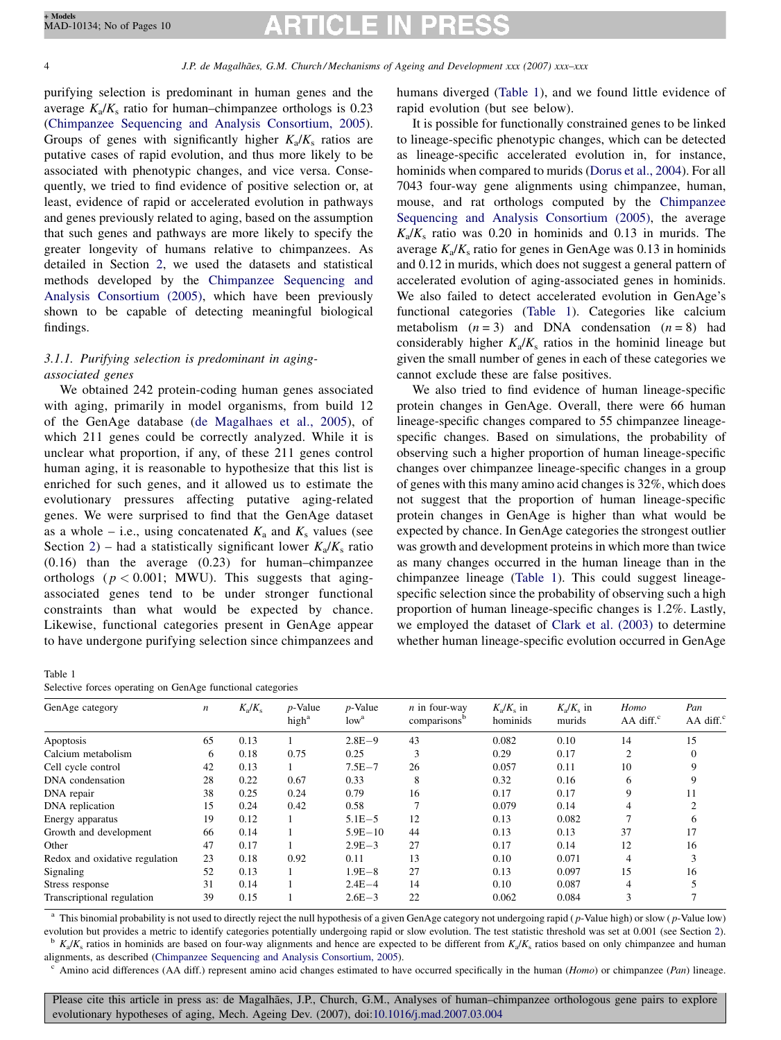4 J.P. de Magalhães, G.M. Church/Mechanisms of Ageing and Development xxx (2007) xxx–xxx

purifying selection is predominant in human genes and the average  $K_a/K_s$  ratio for human–chimpanzee orthologs is 0.23 ([Chimpanzee Sequencing and Analysis Consortium, 2005\)](#page-8-0). Groups of genes with significantly higher  $K_a/K_s$  ratios are putative cases of rapid evolution, and thus more likely to be associated with phenotypic changes, and vice versa. Consequently, we tried to find evidence of positive selection or, at least, evidence of rapid or accelerated evolution in pathways and genes previously related to aging, based on the assumption that such genes and pathways are more likely to specify the greater longevity of humans relative to chimpanzees. As detailed in Section [2](#page-1-0), we used the datasets and statistical methods developed by the [Chimpanzee Sequencing and](#page-8-0) [Analysis Consortium \(2005\)](#page-8-0), which have been previously shown to be capable of detecting meaningful biological findings.

# 3.1.1. Purifying selection is predominant in agingassociated genes

We obtained 242 protein-coding human genes associated with aging, primarily in model organisms, from build 12 of the GenAge database ([de Magalhaes et al., 2005\)](#page-8-0), of which 211 genes could be correctly analyzed. While it is unclear what proportion, if any, of these 211 genes control human aging, it is reasonable to hypothesize that this list is enriched for such genes, and it allowed us to estimate the evolutionary pressures affecting putative aging-related genes. We were surprised to find that the GenAge dataset as a whole – i.e., using concatenated  $K_a$  and  $K_s$  values (see Section [2](#page-1-0)) – had a statistically significant lower  $K_a/K_s$  ratio (0.16) than the average (0.23) for human–chimpanzee orthologs ( $p < 0.001$ ; MWU). This suggests that agingassociated genes tend to be under stronger functional constraints than what would be expected by chance. Likewise, functional categories present in GenAge appear to have undergone purifying selection since chimpanzees and

Table 1

Selective forces operating on GenAge functional categories

humans diverged (Table 1), and we found little evidence of rapid evolution (but see below).

It is possible for functionally constrained genes to be linked to lineage-specific phenotypic changes, which can be detected as lineage-specific accelerated evolution in, for instance, hominids when compared to murids [\(Dorus et al., 2004](#page-8-0)). For all 7043 four-way gene alignments using chimpanzee, human, mouse, and rat orthologs computed by the [Chimpanzee](#page-8-0) [Sequencing and Analysis Consortium \(2005\)](#page-8-0), the average  $K_a/K_s$  ratio was 0.20 in hominids and 0.13 in murids. The average  $K_a/K_s$  ratio for genes in GenAge was 0.13 in hominids and 0.12 in murids, which does not suggest a general pattern of accelerated evolution of aging-associated genes in hominids. We also failed to detect accelerated evolution in GenAge's functional categories (Table 1). Categories like calcium metabolism  $(n = 3)$  and DNA condensation  $(n = 8)$  had considerably higher  $K_a/K_s$  ratios in the hominid lineage but given the small number of genes in each of these categories we cannot exclude these are false positives.

We also tried to find evidence of human lineage-specific protein changes in GenAge. Overall, there were 66 human lineage-specific changes compared to 55 chimpanzee lineagespecific changes. Based on simulations, the probability of observing such a higher proportion of human lineage-specific changes over chimpanzee lineage-specific changes in a group of genes with this many amino acid changes is 32%, which does not suggest that the proportion of human lineage-specific protein changes in GenAge is higher than what would be expected by chance. In GenAge categories the strongest outlier was growth and development proteins in which more than twice as many changes occurred in the human lineage than in the chimpanzee lineage (Table 1). This could suggest lineagespecific selection since the probability of observing such a high proportion of human lineage-specific changes is 1.2%. Lastly, we employed the dataset of [Clark et al. \(2003\)](#page-8-0) to determine whether human lineage-specific evolution occurred in GenAge

| GenAge category                | $\boldsymbol{n}$ | $K_{\rm a}/K_{\rm s}$ | $p$ -Value<br>high <sup>a</sup> | $p$ -Value<br>low <sup>a</sup> | $n$ in four-way<br>comparisons <sup>b</sup> | $K_{\rm a}/K_{\rm s}$ in<br>hominids | $K_{\rm a}/K_{\rm s}$ in<br>murids | Homo<br>$AA$ diff. $^{\circ}$ | Pan<br>$AA$ diff. $^{\circ}$ |
|--------------------------------|------------------|-----------------------|---------------------------------|--------------------------------|---------------------------------------------|--------------------------------------|------------------------------------|-------------------------------|------------------------------|
| Apoptosis                      | 65               | 0.13                  |                                 | $2.8E - 9$                     | 43                                          | 0.082                                | 0.10                               | 14                            | 15                           |
| Calcium metabolism             | 6                | 0.18                  | 0.75                            | 0.25                           | 3                                           | 0.29                                 | 0.17                               | 2                             |                              |
| Cell cycle control             | 42               | 0.13                  |                                 | $7.5E - 7$                     | 26                                          | 0.057                                | 0.11                               | 10                            |                              |
| DNA condensation               | 28               | 0.22                  | 0.67                            | 0.33                           | 8                                           | 0.32                                 | 0.16                               | 6                             |                              |
| DNA repair                     | 38               | 0.25                  | 0.24                            | 0.79                           | 16                                          | 0.17                                 | 0.17                               | 9                             |                              |
| DNA replication                | 15               | 0.24                  | 0.42                            | 0.58                           |                                             | 0.079                                | 0.14                               | 4                             |                              |
| Energy apparatus               | 19               | 0.12                  |                                 | $5.1E - 5$                     | 12                                          | 0.13                                 | 0.082                              |                               |                              |
| Growth and development         | 66               | 0.14                  |                                 | $5.9E - 10$                    | 44                                          | 0.13                                 | 0.13                               | 37                            | 17                           |
| Other                          | 47               | 0.17                  |                                 | $2.9E - 3$                     | 27                                          | 0.17                                 | 0.14                               | 12                            | 16                           |
| Redox and oxidative regulation | 23               | 0.18                  | 0.92                            | 0.11                           | 13                                          | 0.10                                 | 0.071                              | $\overline{4}$                |                              |
| Signaling                      | 52               | 0.13                  |                                 | $1.9E - 8$                     | 27                                          | 0.13                                 | 0.097                              | 15                            | 16                           |
| Stress response                | 31               | 0.14                  |                                 | $2.4E - 4$                     | 14                                          | 0.10                                 | 0.087                              | 4                             |                              |
| Transcriptional regulation     | 39               | 0.15                  |                                 | $2.6E - 3$                     | 22                                          | 0.062                                | 0.084                              | 3                             |                              |

<sup>a</sup> This binomial probability is not used to directly reject the null hypothesis of a given GenAge category not undergoing rapid (*p*-Value high) or slow (*p*-Value low) evolution but provides a metric to identify categories potentially undergoing rapid or slow evolution. The test statistic threshold was set at 0.001 (see Section [2](#page-1-0)).

 $b$  K<sub>a</sub>/K<sub>s</sub> ratios in hominids are based on four-way alignments and hence are expected to be different from K<sub>a</sub>/K<sub>s</sub> ratios based on only chimpanzee and human alignments, as described (Chimpanzee Sequencing and Analysi

 $\textdegree$  Amino acid differences (AA diff.) represent amino acid changes estimated to have occurred specifically in the human (Homo) or chimpanzee (Pan) lineage.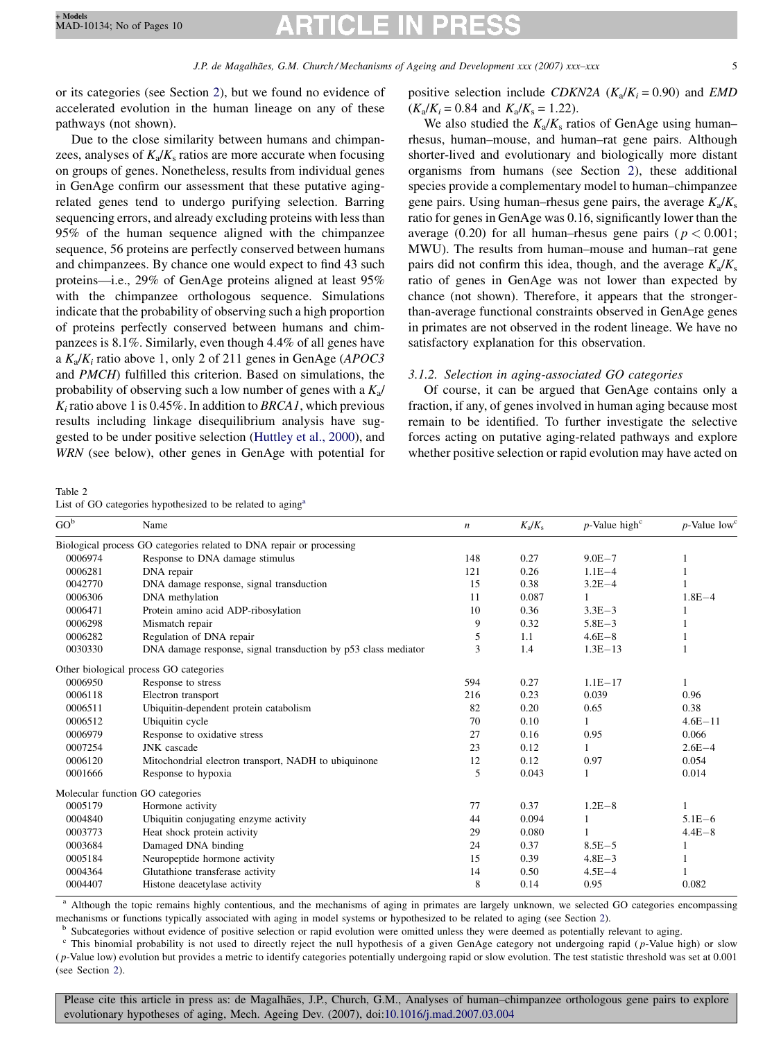<span id="page-4-0"></span>or its categories (see Section [2\)](#page-1-0), but we found no evidence of accelerated evolution in the human lineage on any of these pathways (not shown).

Due to the close similarity between humans and chimpanzees, analyses of  $K_a/K_s$  ratios are more accurate when focusing on groups of genes. Nonetheless, results from individual genes in GenAge confirm our assessment that these putative agingrelated genes tend to undergo purifying selection. Barring sequencing errors, and already excluding proteins with less than 95% of the human sequence aligned with the chimpanzee sequence, 56 proteins are perfectly conserved between humans and chimpanzees. By chance one would expect to find 43 such proteins—i.e., 29% of GenAge proteins aligned at least 95% with the chimpanzee orthologous sequence. Simulations indicate that the probability of observing such a high proportion of proteins perfectly conserved between humans and chimpanzees is 8.1%. Similarly, even though 4.4% of all genes have a  $K_a/K_i$  ratio above 1, only 2 of 211 genes in GenAge (APOC3 and PMCH) fulfilled this criterion. Based on simulations, the probability of observing such a low number of genes with a  $K_a/$  $K_i$  ratio above 1 is 0.45%. In addition to BRCA1, which previous results including linkage disequilibrium analysis have suggested to be under positive selection ([Huttley et al., 2000\)](#page-8-0), and WRN (see below), other genes in GenAge with potential for

Table 2

List of GO categories hypothesized to be related to aging<sup>a</sup>

positive selection include CDKN2A ( $K_a/K_i = 0.90$ ) and EMD  $(K_a/K_i = 0.84$  and  $K_a/K_s = 1.22$ ).

We also studied the  $K_a/K_s$  ratios of GenAge using human– rhesus, human–mouse, and human–rat gene pairs. Although shorter-lived and evolutionary and biologically more distant organisms from humans (see Section [2](#page-1-0)), these additional species provide a complementary model to human–chimpanzee gene pairs. Using human–rhesus gene pairs, the average  $K_a/K_s$ ratio for genes in GenAge was 0.16, significantly lower than the average (0.20) for all human–rhesus gene pairs ( $p < 0.001$ ; MWU). The results from human–mouse and human–rat gene pairs did not confirm this idea, though, and the average  $K_a/K_s$ ratio of genes in GenAge was not lower than expected by chance (not shown). Therefore, it appears that the strongerthan-average functional constraints observed in GenAge genes in primates are not observed in the rodent lineage. We have no satisfactory explanation for this observation.

# 3.1.2. Selection in aging-associated GO categories

Of course, it can be argued that GenAge contains only a fraction, if any, of genes involved in human aging because most remain to be identified. To further investigate the selective forces acting on putative aging-related pathways and explore whether positive selection or rapid evolution may have acted on

| $GO^b$  | Name                                                                 | $\boldsymbol{n}$ | $K_{\rm a}/K_{\rm s}$ | $p$ -Value high <sup>c</sup> | $p$ -Value low <sup>c</sup> |
|---------|----------------------------------------------------------------------|------------------|-----------------------|------------------------------|-----------------------------|
|         | Biological process GO categories related to DNA repair or processing |                  |                       |                              |                             |
| 0006974 | Response to DNA damage stimulus                                      | 148              | 0.27                  | $9.0E - 7$                   |                             |
| 0006281 | DNA repair                                                           | 121              | 0.26                  | $1.1E - 4$                   |                             |
| 0042770 | DNA damage response, signal transduction                             | 15               | 0.38                  | $3.2E - 4$                   |                             |
| 0006306 | DNA methylation                                                      | 11               | 0.087                 | 1                            | $1.8E - 4$                  |
| 0006471 | Protein amino acid ADP-ribosylation                                  | 10               | 0.36                  | $3.3E - 3$                   |                             |
| 0006298 | Mismatch repair                                                      | 9                | 0.32                  | $5.8E - 3$                   |                             |
| 0006282 | Regulation of DNA repair                                             | 5                | 1.1                   | $4.6E - 8$                   |                             |
| 0030330 | DNA damage response, signal transduction by p53 class mediator       | 3                | 1.4                   | $1.3E-13$                    |                             |
|         | Other biological process GO categories                               |                  |                       |                              |                             |
| 0006950 | Response to stress                                                   | 594              | 0.27                  | $1.1E - 17$                  |                             |
| 0006118 | Electron transport                                                   | 216              | 0.23                  | 0.039                        | 0.96                        |
| 0006511 | Ubiquitin-dependent protein catabolism                               | 82               | 0.20                  | 0.65                         | 0.38                        |
| 0006512 | Ubiquitin cycle                                                      | 70               | 0.10                  |                              | $4.6E - 11$                 |
| 0006979 | Response to oxidative stress                                         | 27               | 0.16                  | 0.95                         | 0.066                       |
| 0007254 | JNK cascade                                                          | 23               | 0.12                  |                              | $2.6E - 4$                  |
| 0006120 | Mitochondrial electron transport, NADH to ubiquinone                 | 12               | 0.12                  | 0.97                         | 0.054                       |
| 0001666 | Response to hypoxia                                                  | 5                | 0.043                 |                              | 0.014                       |
|         | Molecular function GO categories                                     |                  |                       |                              |                             |
| 0005179 | Hormone activity                                                     | 77               | 0.37                  | $1.2E - 8$                   |                             |
| 0004840 | Ubiquitin conjugating enzyme activity                                | 44               | 0.094                 |                              | $5.1E - 6$                  |
| 0003773 | Heat shock protein activity                                          | 29               | 0.080                 |                              | $4.4E - 8$                  |
| 0003684 | Damaged DNA binding                                                  | 24               | 0.37                  | $8.5E - 5$                   |                             |
| 0005184 | Neuropeptide hormone activity                                        | 15               | 0.39                  | $4.8E - 3$                   |                             |
| 0004364 | Glutathione transferase activity                                     | 14               | 0.50                  | $4.5E - 4$                   |                             |
| 0004407 | Histone deacetylase activity                                         | 8                | 0.14                  | 0.95                         | 0.082                       |

<sup>a</sup> Although the topic remains highly contentious, and the mechanisms of aging in primates are largely unknown, we selected GO categories encompassing mechanisms or functions typically associated with aging in model systems or hypothesized to be related to aging (see Section [2](#page-1-0)).<br><sup>b</sup> Subcategories without evidence of positive selection or rapid evolution were omitted unle

This binomial probability is not used to directly reject the null hypothesis of a given GenAge category not undergoing rapid (p-Value high) or slow  $(p-$ Value low) evolution but provides a metric to identify categories potentially undergoing rapid or slow evolution. The test statistic threshold was set at  $0.001$ (see Section [2\)](#page-1-0).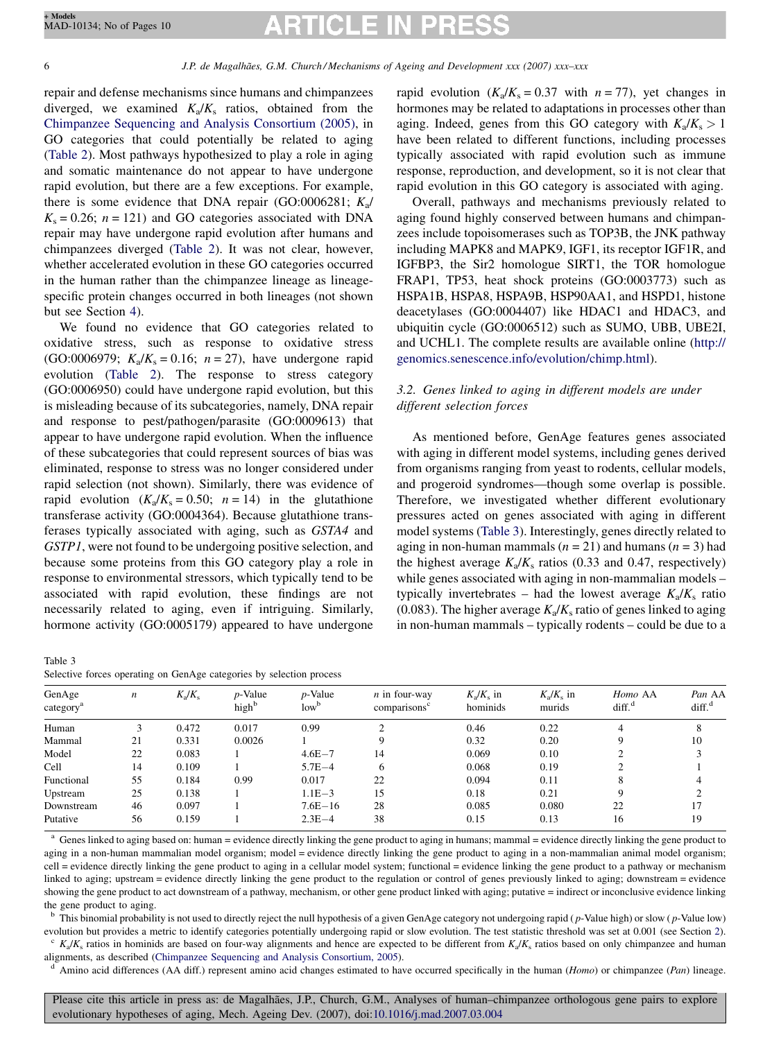# RTICLE II

6 J.P. de Magalha˜es, G.M. Church / Mechanisms of Ageing and Development xxx (2007) xxx–xxx

repair and defense mechanisms since humans and chimpanzees diverged, we examined  $K_a/K_s$  ratios, obtained from the [Chimpanzee Sequencing and Analysis Consortium \(2005\),](#page-8-0) in GO categories that could potentially be related to aging ([Table 2](#page-4-0)). Most pathways hypothesized to play a role in aging and somatic maintenance do not appear to have undergone rapid evolution, but there are a few exceptions. For example, there is some evidence that DNA repair (GO:0006281;  $K_a$ /  $K_s = 0.26$ ;  $n = 121$ ) and GO categories associated with DNA repair may have undergone rapid evolution after humans and chimpanzees diverged [\(Table 2](#page-4-0)). It was not clear, however, whether accelerated evolution in these GO categories occurred in the human rather than the chimpanzee lineage as lineagespecific protein changes occurred in both lineages (not shown but see Section [4](#page-6-0)).

We found no evidence that GO categories related to oxidative stress, such as response to oxidative stress (GO:0006979;  $K_a/K_s = 0.16$ ;  $n = 27$ ), have undergone rapid evolution [\(Table 2\)](#page-4-0). The response to stress category (GO:0006950) could have undergone rapid evolution, but this is misleading because of its subcategories, namely, DNA repair and response to pest/pathogen/parasite (GO:0009613) that appear to have undergone rapid evolution. When the influence of these subcategories that could represent sources of bias was eliminated, response to stress was no longer considered under rapid selection (not shown). Similarly, there was evidence of rapid evolution  $(K_a/K_s = 0.50; n = 14)$  in the glutathione transferase activity (GO:0004364). Because glutathione transferases typically associated with aging, such as GSTA4 and GSTP1, were not found to be undergoing positive selection, and because some proteins from this GO category play a role in response to environmental stressors, which typically tend to be associated with rapid evolution, these findings are not necessarily related to aging, even if intriguing. Similarly, hormone activity (GO:0005179) appeared to have undergone

| г |  |
|---|--|
|   |  |

|  |  | Selective forces operating on GenAge categories by selection process |  |  |
|--|--|----------------------------------------------------------------------|--|--|
|  |  |                                                                      |  |  |

rapid evolution  $(K_a/K_s = 0.37$  with  $n = 77$ ), yet changes in hormones may be related to adaptations in processes other than aging. Indeed, genes from this GO category with  $K_a/K_s > 1$ have been related to different functions, including processes typically associated with rapid evolution such as immune response, reproduction, and development, so it is not clear that rapid evolution in this GO category is associated with aging.

Overall, pathways and mechanisms previously related to aging found highly conserved between humans and chimpanzees include topoisomerases such as TOP3B, the JNK pathway including MAPK8 and MAPK9, IGF1, its receptor IGF1R, and IGFBP3, the Sir2 homologue SIRT1, the TOR homologue FRAP1, TP53, heat shock proteins (GO:0003773) such as HSPA1B, HSPA8, HSPA9B, HSP90AA1, and HSPD1, histone deacetylases (GO:0004407) like HDAC1 and HDAC3, and ubiquitin cycle (GO:0006512) such as SUMO, UBB, UBE2I, and UCHL1. The complete results are available online ([http://](http://genomics.senescence.info/evolution/chimp.html) [genomics.senescence.info/evolution/chimp.html\)](http://genomics.senescence.info/evolution/chimp.html).

# 3.2. Genes linked to aging in different models are under different selection forces

As mentioned before, GenAge features genes associated with aging in different model systems, including genes derived from organisms ranging from yeast to rodents, cellular models, and progeroid syndromes—though some overlap is possible. Therefore, we investigated whether different evolutionary pressures acted on genes associated with aging in different model systems (Table 3). Interestingly, genes directly related to aging in non-human mammals ( $n = 21$ ) and humans ( $n = 3$ ) had the highest average  $K_a/K_s$  ratios (0.33 and 0.47, respectively) while genes associated with aging in non-mammalian models – typically invertebrates – had the lowest average  $K_a/K_s$  ratio (0.083). The higher average  $K_a/K_s$  ratio of genes linked to aging in non-human mammals – typically rodents – could be due to a

| GenAge<br>category <sup>a</sup> | $\boldsymbol{n}$ | $K_a/K_s$ | $p$ -Value<br>high <sup>b</sup> | $p$ -Value<br>low <sup>b</sup> | $n$ in four-way<br>comparisons <sup>c</sup> | $K_{\rm a}/K_{\rm s}$ in<br>hominids | $K_{\rm a}/K_{\rm s}$ in<br>murids | Homo AA<br>diff <sup>d</sup> | Pan AA<br>diff <sup>d</sup> |
|---------------------------------|------------------|-----------|---------------------------------|--------------------------------|---------------------------------------------|--------------------------------------|------------------------------------|------------------------------|-----------------------------|
|                                 |                  |           |                                 |                                | ◠                                           |                                      |                                    |                              |                             |
| Human                           |                  | 0.472     | 0.017                           | 0.99                           |                                             | 0.46                                 | 0.22                               |                              | 8                           |
| Mammal                          | 21               | 0.331     | 0.0026                          |                                |                                             | 0.32                                 | 0.20                               |                              | 10                          |
| Model                           | 22               | 0.083     |                                 | $4.6E - 7$                     | 14                                          | 0.069                                | 0.10                               |                              |                             |
| Cell                            | 14               | 0.109     |                                 | $5.7E - 4$                     | 6                                           | 0.068                                | 0.19                               |                              |                             |
| Functional                      | 55               | 0.184     | 0.99                            | 0.017                          | 22                                          | 0.094                                | 0.11                               | 8                            |                             |
| Upstream                        | 25               | 0.138     |                                 | $1.1E - 3$                     | 15                                          | 0.18                                 | 0.21                               | Q                            |                             |
| Downstream                      | 46               | 0.097     |                                 | $7.6E - 16$                    | 28                                          | 0.085                                | 0.080                              | 22                           | 17                          |
| Putative                        | 56               | 0.159     |                                 | $2.3E - 4$                     | 38                                          | 0.15                                 | 0.13                               | 16                           | 19                          |

<sup>a</sup> Genes linked to aging based on: human = evidence directly linking the gene product to aging in humans; mammal = evidence directly linking the gene product to aging in a non-human mammalian model organism; model = evidence directly linking the gene product to aging in a non-mammalian animal model organism; cell = evidence directly linking the gene product to aging in a cellular model system; functional = evidence linking the gene product to a pathway or mechanism linked to aging; upstream = evidence directly linking the gene product to the regulation or control of genes previously linked to aging; downstream = evidence showing the gene product to act downstream of a pathway, mechanism, or other gene product linked with aging; putative = indirect or inconclusive evidence linking the gene product to aging.

 $b$  This binomial probability is not used to directly reject the null hypothesis of a given GenAge category not undergoing rapid ( $p$ -Value high) or slow ( $p$ -Value low)

evolution but provides a metric to identify categories potentially undergoing rapid or slow evolution. The test statistic threshold was set at 0.001 (see Section [2](#page-1-0)).<br>
"  $K_a/K_s$  ratios in hominids are based on four-way alig

 $d$  Amino acid differences (AA diff.) represent amino acid changes estimated to have occurred specifically in the human (Homo) or chimpanzee (Pan) lineage.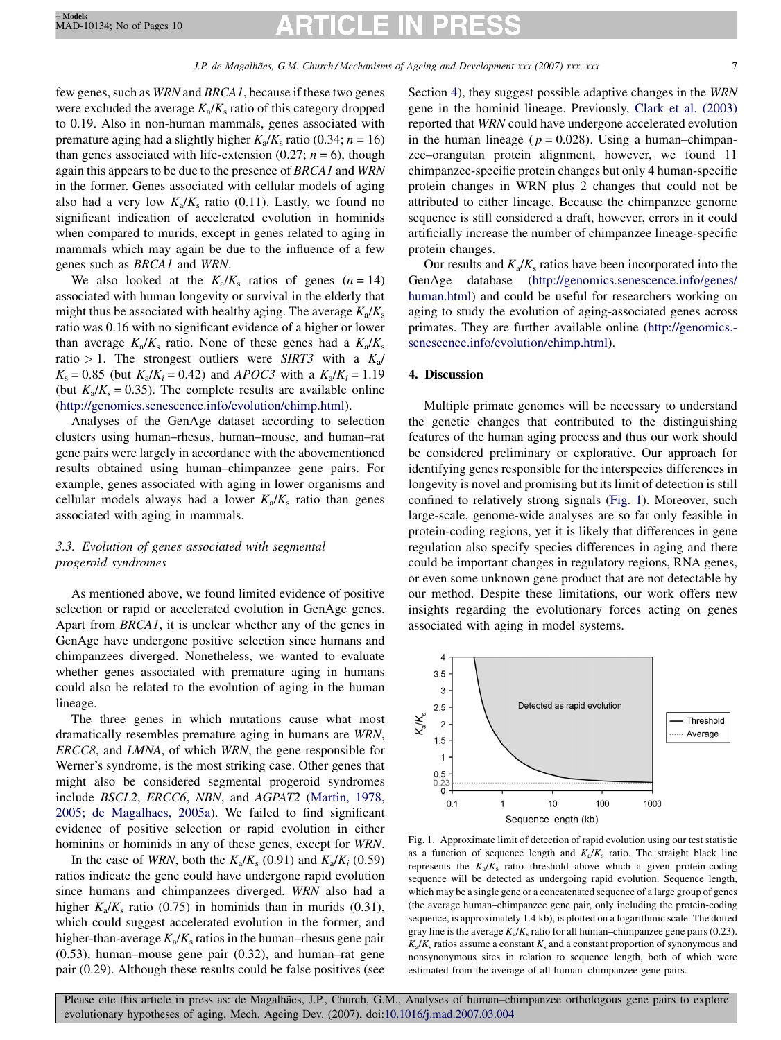# CILE

<span id="page-6-0"></span>few genes, such as WRN and BRCA1, because if these two genes were excluded the average  $K_a/K_s$  ratio of this category dropped to 0.19. Also in non-human mammals, genes associated with premature aging had a slightly higher  $K_a/K_s$  ratio (0.34;  $n = 16$ ) than genes associated with life-extension (0.27;  $n = 6$ ), though again this appears to be due to the presence of BRCA1 and WRN in the former. Genes associated with cellular models of aging also had a very low  $K_a/K_s$  ratio (0.11). Lastly, we found no significant indication of accelerated evolution in hominids when compared to murids, except in genes related to aging in mammals which may again be due to the influence of a few genes such as BRCA1 and WRN.

We also looked at the  $K_a/K_s$  ratios of genes  $(n = 14)$ associated with human longevity or survival in the elderly that might thus be associated with healthy aging. The average  $K_a/K_s$ ratio was 0.16 with no significant evidence of a higher or lower than average  $K_a/K_s$  ratio. None of these genes had a  $K_a/K_s$ ratio > 1. The strongest outliers were SIRT3 with a  $K_a/$  $K_s = 0.85$  (but  $K_a/K_i = 0.42$ ) and APOC3 with a  $K_a/K_i = 1.19$ (but  $K_a/K_s = 0.35$ ). The complete results are available online ([http://genomics.senescence.info/evolution/chimp.html\)](http://genomics.senescence.info/evolution/chimp.html).

Analyses of the GenAge dataset according to selection clusters using human–rhesus, human–mouse, and human–rat gene pairs were largely in accordance with the abovementioned results obtained using human–chimpanzee gene pairs. For example, genes associated with aging in lower organisms and cellular models always had a lower  $K_a/K_s$  ratio than genes associated with aging in mammals.

# 3.3. Evolution of genes associated with segmental progeroid syndromes

As mentioned above, we found limited evidence of positive selection or rapid or accelerated evolution in GenAge genes. Apart from BRCA1, it is unclear whether any of the genes in GenAge have undergone positive selection since humans and chimpanzees diverged. Nonetheless, we wanted to evaluate whether genes associated with premature aging in humans could also be related to the evolution of aging in the human lineage.

The three genes in which mutations cause what most dramatically resembles premature aging in humans are WRN, ERCC8, and LMNA, of which WRN, the gene responsible for Werner's syndrome, is the most striking case. Other genes that might also be considered segmental progeroid syndromes include BSCL2, ERCC6, NBN, and AGPAT2 ([Martin, 1978,](#page-8-0) [2005; de Magalhaes, 2005a\)](#page-8-0). We failed to find significant evidence of positive selection or rapid evolution in either hominins or hominids in any of these genes, except for WRN.

In the case of WRN, both the  $K_a/K_s$  (0.91) and  $K_a/K_i$  (0.59) ratios indicate the gene could have undergone rapid evolution since humans and chimpanzees diverged. WRN also had a higher  $K_a/K_s$  ratio (0.75) in hominids than in murids (0.31), which could suggest accelerated evolution in the former, and higher-than-average  $K_a/K_s$  ratios in the human–rhesus gene pair (0.53), human–mouse gene pair (0.32), and human–rat gene pair (0.29). Although these results could be false positives (see Section 4), they suggest possible adaptive changes in the WRN gene in the hominid lineage. Previously, [Clark et al. \(2003\)](#page-8-0) reported that WRN could have undergone accelerated evolution in the human lineage ( $p = 0.028$ ). Using a human–chimpanzee–orangutan protein alignment, however, we found 11 chimpanzee-specific protein changes but only 4 human-specific protein changes in WRN plus 2 changes that could not be attributed to either lineage. Because the chimpanzee genome sequence is still considered a draft, however, errors in it could artificially increase the number of chimpanzee lineage-specific protein changes.

Our results and  $K_a/K_s$  ratios have been incorporated into the GenAge database [\(http://genomics.senescence.info/genes/](http://genomics.senescence.info/genes/human.html) [human.html\)](http://genomics.senescence.info/genes/human.html) and could be useful for researchers working on aging to study the evolution of aging-associated genes across primates. They are further available online [\(http://genomics.](http://genomics.senescence.info/evolution/chimp.html) [senescence.info/evolution/chimp.html\)](http://genomics.senescence.info/evolution/chimp.html).

# 4. Discussion

Multiple primate genomes will be necessary to understand the genetic changes that contributed to the distinguishing features of the human aging process and thus our work should be considered preliminary or explorative. Our approach for identifying genes responsible for the interspecies differences in longevity is novel and promising but its limit of detection is still confined to relatively strong signals (Fig. 1). Moreover, such large-scale, genome-wide analyses are so far only feasible in protein-coding regions, yet it is likely that differences in gene regulation also specify species differences in aging and there could be important changes in regulatory regions, RNA genes, or even some unknown gene product that are not detectable by our method. Despite these limitations, our work offers new insights regarding the evolutionary forces acting on genes associated with aging in model systems.



Fig. 1. Approximate limit of detection of rapid evolution using our test statistic as a function of sequence length and  $K_a/K_s$  ratio. The straight black line represents the  $K_a/K_s$  ratio threshold above which a given protein-coding sequence will be detected as undergoing rapid evolution. Sequence length, which may be a single gene or a concatenated sequence of a large group of genes (the average human–chimpanzee gene pair, only including the protein-coding sequence, is approximately 1.4 kb), is plotted on a logarithmic scale. The dotted gray line is the average  $K_a/K_s$  ratio for all human–chimpanzee gene pairs (0.23).  $K_a/K_s$  ratios assume a constant  $K_s$  and a constant proportion of synonymous and nonsynonymous sites in relation to sequence length, both of which were estimated from the average of all human–chimpanzee gene pairs.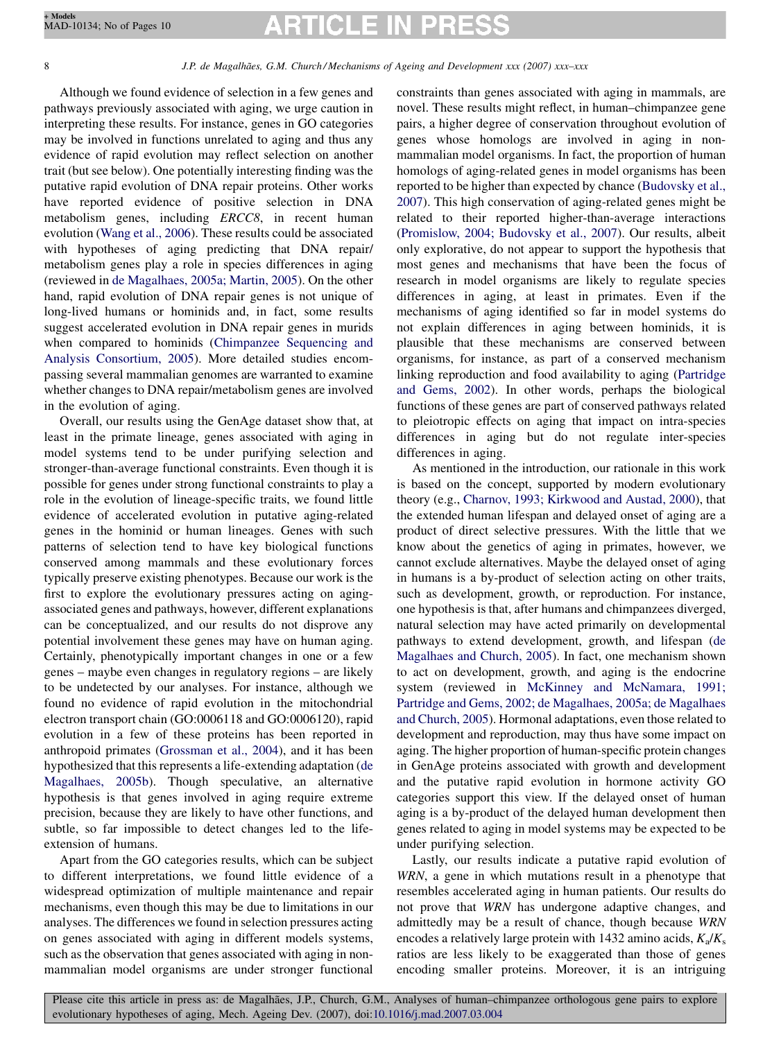# **RTICLE IN PRE!**

# 8 J.P. de Magalhães, G.M. Church/Mechanisms of Ageing and Development xxx (2007) xxx–xxx

Although we found evidence of selection in a few genes and pathways previously associated with aging, we urge caution in interpreting these results. For instance, genes in GO categories may be involved in functions unrelated to aging and thus any evidence of rapid evolution may reflect selection on another trait (but see below). One potentially interesting finding was the putative rapid evolution of DNA repair proteins. Other works have reported evidence of positive selection in DNA metabolism genes, including ERCC8, in recent human evolution ([Wang et al., 2006\)](#page-9-0). These results could be associated with hypotheses of aging predicting that DNA repair/ metabolism genes play a role in species differences in aging (reviewed in [de Magalhaes, 2005a; Martin, 2005](#page-8-0)). On the other hand, rapid evolution of DNA repair genes is not unique of long-lived humans or hominids and, in fact, some results suggest accelerated evolution in DNA repair genes in murids when compared to hominids [\(Chimpanzee Sequencing and](#page-8-0) [Analysis Consortium, 2005](#page-8-0)). More detailed studies encompassing several mammalian genomes are warranted to examine whether changes to DNA repair/metabolism genes are involved in the evolution of aging.

Overall, our results using the GenAge dataset show that, at least in the primate lineage, genes associated with aging in model systems tend to be under purifying selection and stronger-than-average functional constraints. Even though it is possible for genes under strong functional constraints to play a role in the evolution of lineage-specific traits, we found little evidence of accelerated evolution in putative aging-related genes in the hominid or human lineages. Genes with such patterns of selection tend to have key biological functions conserved among mammals and these evolutionary forces typically preserve existing phenotypes. Because our work is the first to explore the evolutionary pressures acting on agingassociated genes and pathways, however, different explanations can be conceptualized, and our results do not disprove any potential involvement these genes may have on human aging. Certainly, phenotypically important changes in one or a few genes – maybe even changes in regulatory regions – are likely to be undetected by our analyses. For instance, although we found no evidence of rapid evolution in the mitochondrial electron transport chain (GO:0006118 and GO:0006120), rapid evolution in a few of these proteins has been reported in anthropoid primates ([Grossman et al., 2004\)](#page-8-0), and it has been hypothesized that this represents a life-extending adaptation [\(de](#page-8-0) [Magalhaes, 2005b](#page-8-0)). Though speculative, an alternative hypothesis is that genes involved in aging require extreme precision, because they are likely to have other functions, and subtle, so far impossible to detect changes led to the lifeextension of humans.

Apart from the GO categories results, which can be subject to different interpretations, we found little evidence of a widespread optimization of multiple maintenance and repair mechanisms, even though this may be due to limitations in our analyses. The differences we found in selection pressures acting on genes associated with aging in different models systems, such as the observation that genes associated with aging in nonmammalian model organisms are under stronger functional

constraints than genes associated with aging in mammals, are novel. These results might reflect, in human–chimpanzee gene pairs, a higher degree of conservation throughout evolution of genes whose homologs are involved in aging in nonmammalian model organisms. In fact, the proportion of human homologs of aging-related genes in model organisms has been reported to be higher than expected by chance ([Budovsky et al.,](#page-8-0) [2007\)](#page-8-0). This high conservation of aging-related genes might be related to their reported higher-than-average interactions ([Promislow, 2004; Budovsky et al., 2007\)](#page-9-0). Our results, albeit only explorative, do not appear to support the hypothesis that most genes and mechanisms that have been the focus of research in model organisms are likely to regulate species differences in aging, at least in primates. Even if the mechanisms of aging identified so far in model systems do not explain differences in aging between hominids, it is plausible that these mechanisms are conserved between organisms, for instance, as part of a conserved mechanism linking reproduction and food availability to aging [\(Partridge](#page-9-0) [and Gems, 2002](#page-9-0)). In other words, perhaps the biological functions of these genes are part of conserved pathways related to pleiotropic effects on aging that impact on intra-species differences in aging but do not regulate inter-species differences in aging.

As mentioned in the introduction, our rationale in this work is based on the concept, supported by modern evolutionary theory (e.g., [Charnov, 1993; Kirkwood and Austad, 2000](#page-8-0)), that the extended human lifespan and delayed onset of aging are a product of direct selective pressures. With the little that we know about the genetics of aging in primates, however, we cannot exclude alternatives. Maybe the delayed onset of aging in humans is a by-product of selection acting on other traits, such as development, growth, or reproduction. For instance, one hypothesis is that, after humans and chimpanzees diverged, natural selection may have acted primarily on developmental pathways to extend development, growth, and lifespan [\(de](#page-8-0) [Magalhaes and Church, 2005](#page-8-0)). In fact, one mechanism shown to act on development, growth, and aging is the endocrine system (reviewed in [McKinney and McNamara, 1991;](#page-8-0) [Partridge and Gems, 2002; de Magalhaes, 2005a; de Magalhaes](#page-8-0) [and Church, 2005\)](#page-8-0). Hormonal adaptations, even those related to development and reproduction, may thus have some impact on aging. The higher proportion of human-specific protein changes in GenAge proteins associated with growth and development and the putative rapid evolution in hormone activity GO categories support this view. If the delayed onset of human aging is a by-product of the delayed human development then genes related to aging in model systems may be expected to be under purifying selection.

Lastly, our results indicate a putative rapid evolution of WRN, a gene in which mutations result in a phenotype that resembles accelerated aging in human patients. Our results do not prove that WRN has undergone adaptive changes, and admittedly may be a result of chance, though because WRN encodes a relatively large protein with 1432 amino acids,  $K_a/K_s$ ratios are less likely to be exaggerated than those of genes encoding smaller proteins. Moreover, it is an intriguing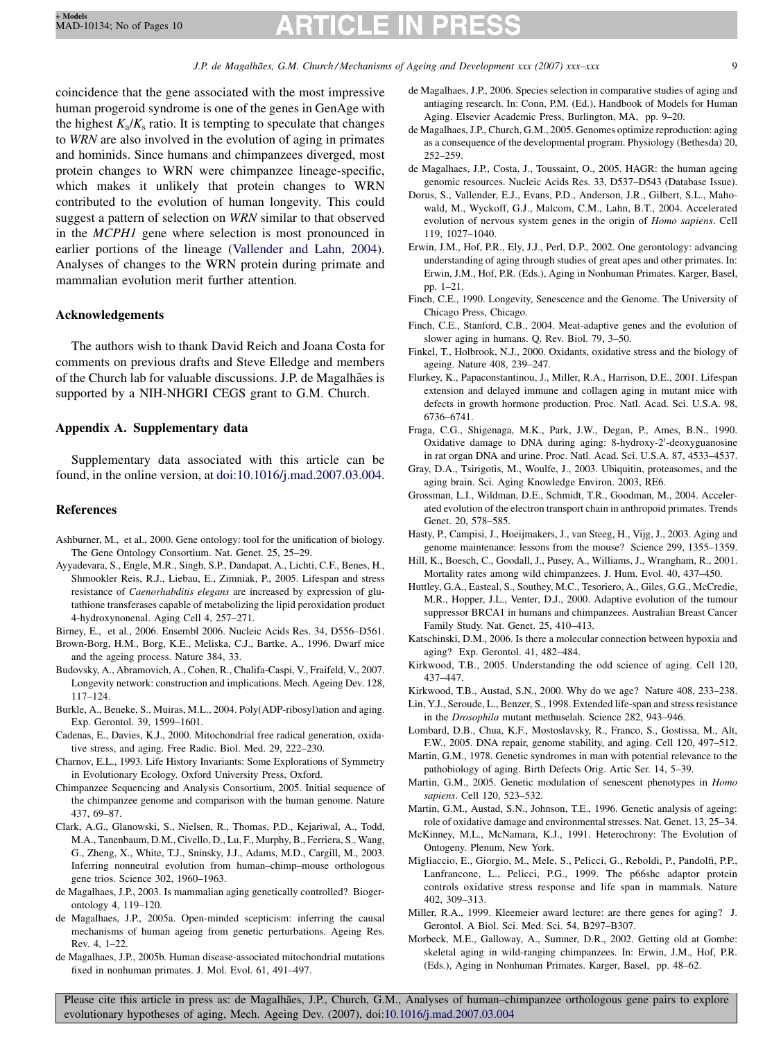# **RTICLE IN PRES**

<span id="page-8-0"></span>coincidence that the gene associated with the most impressive human progeroid syndrome is one of the genes in GenAge with the highest  $K_a/K_s$  ratio. It is tempting to speculate that changes to WRN are also involved in the evolution of aging in primates and hominids. Since humans and chimpanzees diverged, most protein changes to WRN were chimpanzee lineage-specific, which makes it unlikely that protein changes to WRN contributed to the evolution of human longevity. This could suggest a pattern of selection on WRN similar to that observed in the MCPH1 gene where selection is most pronounced in earlier portions of the lineage ([Vallender and Lahn, 2004\)](#page-9-0). Analyses of changes to the WRN protein during primate and mammalian evolution merit further attention.

# Acknowledgements

The authors wish to thank David Reich and Joana Costa for comments on previous drafts and Steve Elledge and members of the Church lab for valuable discussions. J.P. de Magalhães is supported by a NIH-NHGRI CEGS grant to G.M. Church.

# Appendix A. Supplementary data

Supplementary data associated with this article can be found, in the online version, at [doi:10.1016/j.mad.2007.03.004](http://dx.doi.org/10.1016/j.mad.2007.03.004).

# References

- Ashburner, M., et al., 2000. Gene ontology: tool for the unification of biology. The Gene Ontology Consortium. Nat. Genet. 25, 25–29.
- Ayyadevara, S., Engle, M.R., Singh, S.P., Dandapat, A., Lichti, C.F., Benes, H., Shmookler Reis, R.J., Liebau, E., Zimniak, P., 2005. Lifespan and stress resistance of Caenorhabditis elegans are increased by expression of glutathione transferases capable of metabolizing the lipid peroxidation product 4-hydroxynonenal. Aging Cell 4, 257–271.

Birney, E., et al., 2006. Ensembl 2006. Nucleic Acids Res. 34, D556–D561.

- Brown-Borg, H.M., Borg, K.E., Meliska, C.J., Bartke, A., 1996. Dwarf mice and the ageing process. Nature 384, 33.
- Budovsky, A., Abramovich, A., Cohen, R., Chalifa-Caspi, V., Fraifeld, V., 2007. Longevity network: construction and implications. Mech. Ageing Dev. 128, 117–124.
- Burkle, A., Beneke, S., Muiras, M.L., 2004. Poly(ADP-ribosyl)ation and aging. Exp. Gerontol. 39, 1599–1601.
- Cadenas, E., Davies, K.J., 2000. Mitochondrial free radical generation, oxidative stress, and aging. Free Radic. Biol. Med. 29, 222–230.
- Charnov, E.L., 1993. Life History Invariants: Some Explorations of Symmetry in Evolutionary Ecology. Oxford University Press, Oxford.
- Chimpanzee Sequencing and Analysis Consortium, 2005. Initial sequence of the chimpanzee genome and comparison with the human genome. Nature 437, 69–87.
- Clark, A.G., Glanowski, S., Nielsen, R., Thomas, P.D., Kejariwal, A., Todd, M.A., Tanenbaum, D.M., Civello, D., Lu, F., Murphy, B., Ferriera, S., Wang, G., Zheng, X., White, T.J., Sninsky, J.J., Adams, M.D., Cargill, M., 2003. Inferring nonneutral evolution from human–chimp–mouse orthologous gene trios. Science 302, 1960–1963.
- de Magalhaes, J.P., 2003. Is mammalian aging genetically controlled? Biogerontology 4, 119–120.
- de Magalhaes, J.P., 2005a. Open-minded scepticism: inferring the causal mechanisms of human ageing from genetic perturbations. Ageing Res. Rev. 4, 1–22.
- de Magalhaes, J.P., 2005b. Human disease-associated mitochondrial mutations fixed in nonhuman primates. J. Mol. Evol. 61, 491–497.
- de Magalhaes, J.P., 2006. Species selection in comparative studies of aging and antiaging research. In: Conn, P.M. (Ed.), Handbook of Models for Human Aging. Elsevier Academic Press, Burlington, MA, pp. 9–20.
- de Magalhaes, J.P., Church, G.M., 2005. Genomes optimize reproduction: aging as a consequence of the developmental program. Physiology (Bethesda) 20, 252–259.
- de Magalhaes, J.P., Costa, J., Toussaint, O., 2005. HAGR: the human ageing genomic resources. Nucleic Acids Res. 33, D537–D543 (Database Issue).
- Dorus, S., Vallender, E.J., Evans, P.D., Anderson, J.R., Gilbert, S.L., Mahowald, M., Wyckoff, G.J., Malcom, C.M., Lahn, B.T., 2004. Accelerated evolution of nervous system genes in the origin of Homo sapiens. Cell 119, 1027–1040.
- Erwin, J.M., Hof, P.R., Ely, J.J., Perl, D.P., 2002. One gerontology: advancing understanding of aging through studies of great apes and other primates. In: Erwin, J.M., Hof, P.R. (Eds.), Aging in Nonhuman Primates. Karger, Basel, pp. 1–21.
- Finch, C.E., 1990. Longevity, Senescence and the Genome. The University of Chicago Press, Chicago.
- Finch, C.E., Stanford, C.B., 2004. Meat-adaptive genes and the evolution of slower aging in humans. Q. Rev. Biol. 79, 3–50.
- Finkel, T., Holbrook, N.J., 2000. Oxidants, oxidative stress and the biology of ageing. Nature 408, 239–247.
- Flurkey, K., Papaconstantinou, J., Miller, R.A., Harrison, D.E., 2001. Lifespan extension and delayed immune and collagen aging in mutant mice with defects in growth hormone production. Proc. Natl. Acad. Sci. U.S.A. 98, 6736–6741.
- Fraga, C.G., Shigenaga, M.K., Park, J.W., Degan, P., Ames, B.N., 1990. Oxidative damage to DNA during aging: 8-hydroxy-2'-deoxyguanosine in rat organ DNA and urine. Proc. Natl. Acad. Sci. U.S.A. 87, 4533–4537.
- Gray, D.A., Tsirigotis, M., Woulfe, J., 2003. Ubiquitin, proteasomes, and the aging brain. Sci. Aging Knowledge Environ. 2003, RE6.
- Grossman, L.I., Wildman, D.E., Schmidt, T.R., Goodman, M., 2004. Accelerated evolution of the electron transport chain in anthropoid primates. Trends Genet. 20, 578–585.
- Hasty, P., Campisi, J., Hoeijmakers, J., van Steeg, H., Vijg, J., 2003. Aging and genome maintenance: lessons from the mouse? Science 299, 1355–1359.
- Hill, K., Boesch, C., Goodall, J., Pusey, A., Williams, J., Wrangham, R., 2001. Mortality rates among wild chimpanzees. J. Hum. Evol. 40, 437–450.
- Huttley, G.A., Easteal, S., Southey, M.C., Tesoriero, A., Giles, G.G., McCredie, M.R., Hopper, J.L., Venter, D.J., 2000. Adaptive evolution of the tumour suppressor BRCA1 in humans and chimpanzees. Australian Breast Cancer Family Study. Nat. Genet. 25, 410–413.
- Katschinski, D.M., 2006. Is there a molecular connection between hypoxia and aging? Exp. Gerontol. 41, 482–484.
- Kirkwood, T.B., 2005. Understanding the odd science of aging. Cell 120, 437–447.
- Kirkwood, T.B., Austad, S.N., 2000. Why do we age? Nature 408, 233–238.
- Lin, Y.J., Seroude, L., Benzer, S., 1998. Extended life-span and stress resistance in the Drosophila mutant methuselah. Science 282, 943–946.
- Lombard, D.B., Chua, K.F., Mostoslavsky, R., Franco, S., Gostissa, M., Alt, F.W., 2005. DNA repair, genome stability, and aging. Cell 120, 497–512.
- Martin, G.M., 1978. Genetic syndromes in man with potential relevance to the pathobiology of aging. Birth Defects Orig. Artic Ser. 14, 5–39.
- Martin, G.M., 2005. Genetic modulation of senescent phenotypes in Homo sapiens. Cell 120, 523–532.
- Martin, G.M., Austad, S.N., Johnson, T.E., 1996. Genetic analysis of ageing: role of oxidative damage and environmental stresses. Nat. Genet. 13, 25–34.
- McKinney, M.L., McNamara, K.J., 1991. Heterochrony: The Evolution of Ontogeny. Plenum, New York.
- Migliaccio, E., Giorgio, M., Mele, S., Pelicci, G., Reboldi, P., Pandolfi, P.P., Lanfrancone, L., Pelicci, P.G., 1999. The p66shc adaptor protein controls oxidative stress response and life span in mammals. Nature 402, 309–313.
- Miller, R.A., 1999. Kleemeier award lecture: are there genes for aging? J. Gerontol. A Biol. Sci. Med. Sci. 54, B297–B307.
- Morbeck, M.E., Galloway, A., Sumner, D.R., 2002. Getting old at Gombe: skeletal aging in wild-ranging chimpanzees. In: Erwin, J.M., Hof, P.R. (Eds.), Aging in Nonhuman Primates. Karger, Basel, pp. 48–62.